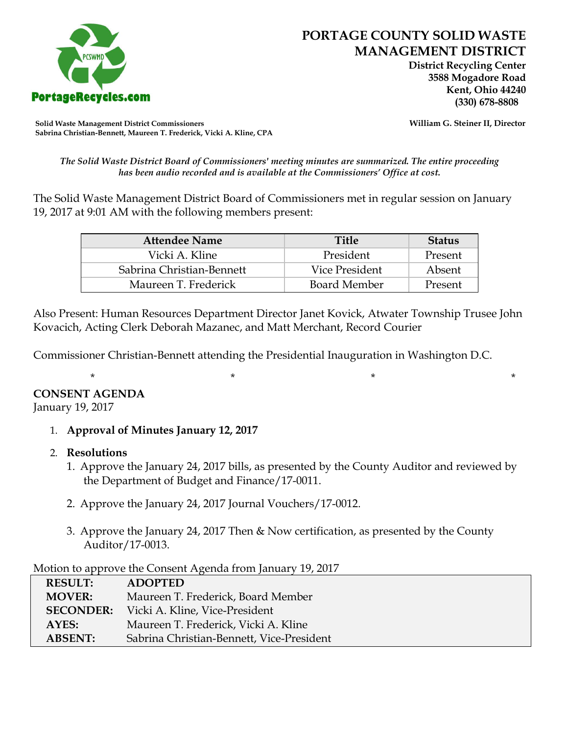

 **District Recycling Center 3588 Mogadore Road Kent, Ohio 44240**

**Solid Waste Management District Commissioners William G. Steiner II, Director Sabrina Christian-Bennett, Maureen T. Frederick, Vicki A. Kline, CPA**

*The Solid Waste District Board of Commissioners' meeting minutes are summarized. The entire proceeding has been audio recorded and is available at the Commissioners' Office at cost.*

The Solid Waste Management District Board of Commissioners met in regular session on January 19, 2017 at 9:01 AM with the following members present:

| <b>Attendee Name</b>      | <b>Title</b>        | <b>Status</b> |
|---------------------------|---------------------|---------------|
| Vicki A. Kline            | President           | Present       |
| Sabrina Christian-Bennett | Vice President      | Absent        |
| Maureen T. Frederick      | <b>Board Member</b> | Present       |

Also Present: Human Resources Department Director Janet Kovick, Atwater Township Trusee John Kovacich, Acting Clerk Deborah Mazanec, and Matt Merchant, Record Courier

Commissioner Christian-Bennett attending the Presidential Inauguration in Washington D.C.

#### **CONSENT AGENDA**

January 19, 2017

1. **Approval of Minutes January 12, 2017**

#### 2. **Resolutions**

1. Approve the January 24, 2017 bills, as presented by the County Auditor and reviewed by the Department of Budget and Finance/17-0011.

\* \* \* \*

- 2. Approve the January 24, 2017 Journal Vouchers/17-0012.
- 3. Approve the January 24, 2017 Then & Now certification, as presented by the County Auditor/17-0013.

Motion to approve the Consent Agenda from January 19, 2017

| <b>RESULT:</b>   | <b>ADOPTED</b>                            |
|------------------|-------------------------------------------|
| <b>MOVER:</b>    | Maureen T. Frederick, Board Member        |
| <b>SECONDER:</b> | Vicki A. Kline, Vice-President            |
| AYES:            | Maureen T. Frederick, Vicki A. Kline      |
| <b>ABSENT:</b>   | Sabrina Christian-Bennett, Vice-President |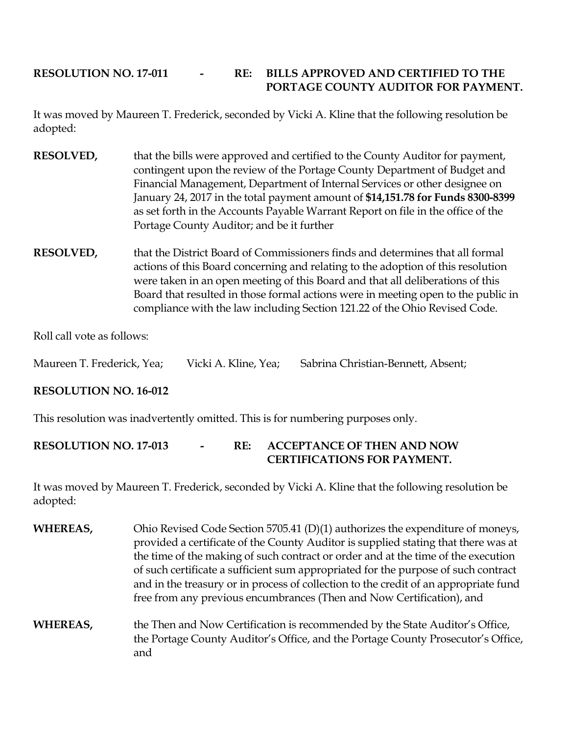## **RESOLUTION NO. 17-011 - RE: BILLS APPROVED AND CERTIFIED TO THE PORTAGE COUNTY AUDITOR FOR PAYMENT.**

It was moved by Maureen T. Frederick, seconded by Vicki A. Kline that the following resolution be adopted:

- **RESOLVED,** that the bills were approved and certified to the County Auditor for payment, contingent upon the review of the Portage County Department of Budget and Financial Management, Department of Internal Services or other designee on January 24, 2017 in the total payment amount of **\$14,151.78 for Funds 8300-8399**  as set forth in the Accounts Payable Warrant Report on file in the office of the Portage County Auditor; and be it further
- **RESOLVED,** that the District Board of Commissioners finds and determines that all formal actions of this Board concerning and relating to the adoption of this resolution were taken in an open meeting of this Board and that all deliberations of this Board that resulted in those formal actions were in meeting open to the public in compliance with the law including Section 121.22 of the Ohio Revised Code.

Roll call vote as follows:

Maureen T. Frederick, Yea; Vicki A. Kline, Yea; Sabrina Christian-Bennett, Absent;

### **RESOLUTION NO. 16-012**

This resolution was inadvertently omitted. This is for numbering purposes only.

### **RESOLUTION NO. 17-013 - RE: ACCEPTANCE OF THEN AND NOW CERTIFICATIONS FOR PAYMENT.**

It was moved by Maureen T. Frederick, seconded by Vicki A. Kline that the following resolution be adopted:

- **WHEREAS,** Ohio Revised Code Section 5705.41 (D)(1) authorizes the expenditure of moneys, provided a certificate of the County Auditor is supplied stating that there was at the time of the making of such contract or order and at the time of the execution of such certificate a sufficient sum appropriated for the purpose of such contract and in the treasury or in process of collection to the credit of an appropriate fund free from any previous encumbrances (Then and Now Certification), and
- **WHEREAS,** the Then and Now Certification is recommended by the State Auditor's Office, the Portage County Auditor's Office, and the Portage County Prosecutor's Office, and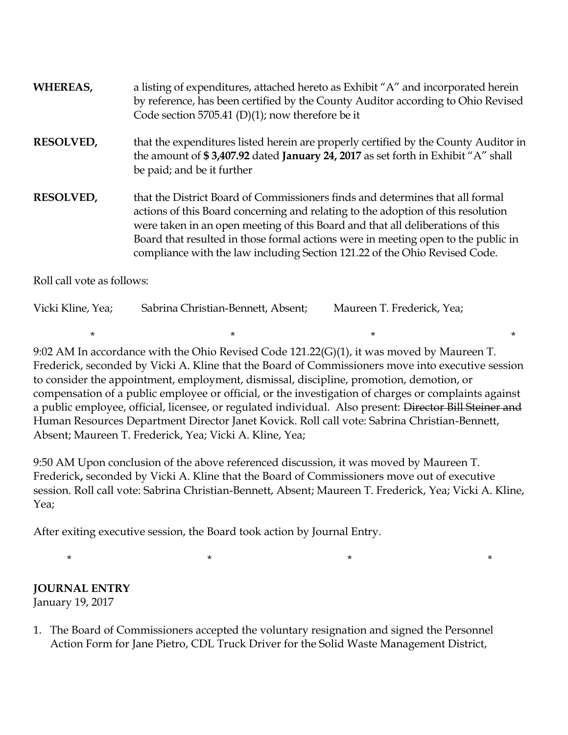| WHEREAS,                   | a listing of expenditures, attached hereto as Exhibit "A" and incorporated herein<br>by reference, has been certified by the County Auditor according to Ohio Revised<br>Code section 5705.41 (D)(1); now therefore be it                                                                                                                                                                                              |
|----------------------------|------------------------------------------------------------------------------------------------------------------------------------------------------------------------------------------------------------------------------------------------------------------------------------------------------------------------------------------------------------------------------------------------------------------------|
| <b>RESOLVED,</b>           | that the expenditures listed herein are properly certified by the County Auditor in<br>the amount of \$3,407.92 dated January 24, 2017 as set forth in Exhibit "A" shall<br>be paid; and be it further                                                                                                                                                                                                                 |
| <b>RESOLVED,</b>           | that the District Board of Commissioners finds and determines that all formal<br>actions of this Board concerning and relating to the adoption of this resolution<br>were taken in an open meeting of this Board and that all deliberations of this<br>Board that resulted in those formal actions were in meeting open to the public in<br>compliance with the law including Section 121.22 of the Ohio Revised Code. |
| Roll call vote as follows: |                                                                                                                                                                                                                                                                                                                                                                                                                        |

| Vicki Kline, Yea; | Sabrina Christian-Bennett, Absent; | Maureen T. Frederick, Yea; |  |
|-------------------|------------------------------------|----------------------------|--|
|                   |                                    |                            |  |

9:02 AM In accordance with the Ohio Revised Code 121.22(G)(1), it was moved by Maureen T. Frederick, seconded by Vicki A. Kline that the Board of Commissioners move into executive session to consider the appointment, employment, dismissal, discipline, promotion, demotion, or compensation of a public employee or official, or the investigation of charges or complaints against a public employee, official, licensee, or regulated individual. Also present: <del>Director Bill Steiner and</del> Human Resources Department Director Janet Kovick. Roll call vote: Sabrina Christian-Bennett, Absent; Maureen T. Frederick, Yea; Vicki A. Kline, Yea;

9:50 AM Upon conclusion of the above referenced discussion, it was moved by Maureen T. Frederick**,** seconded by Vicki A. Kline that the Board of Commissioners move out of executive session. Roll call vote: Sabrina Christian-Bennett, Absent; Maureen T. Frederick, Yea; Vicki A. Kline, Yea;

After exiting executive session, the Board took action by Journal Entry.

\* \* \* \*

# **JOURNAL ENTRY**

January 19, 2017

1. The Board of Commissioners accepted the voluntary resignation and signed the Personnel Action Form for Jane Pietro, CDL Truck Driver for the Solid Waste Management District,